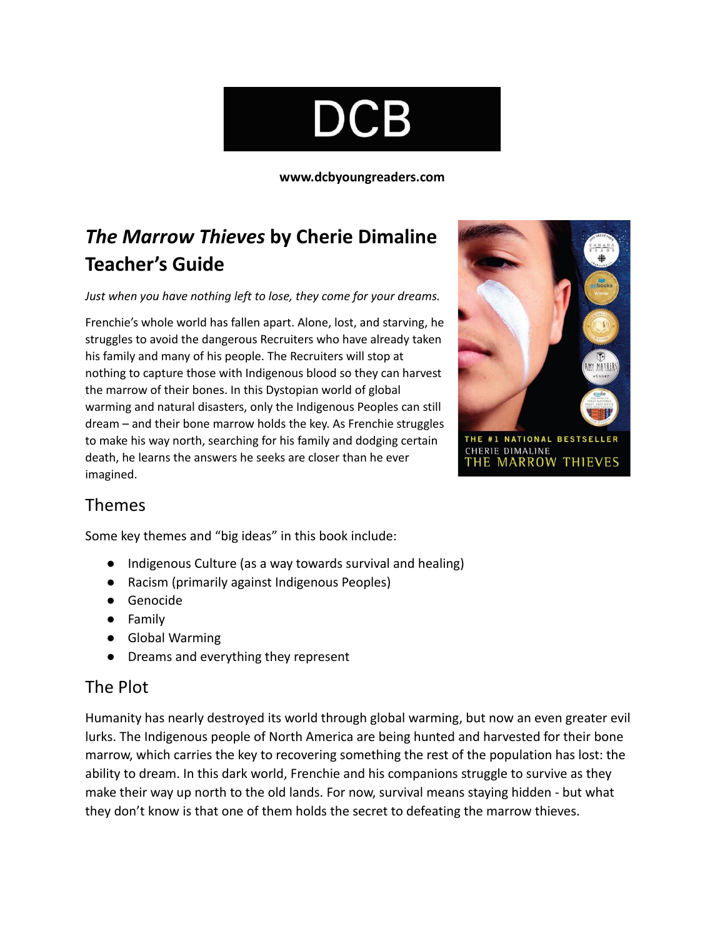# DCB

**[www.dcbyoungreaders.com](http://www.dcbyoungreaders.com)**

## *The Marrow Thieves* **by Cherie Dimaline Teacher's Guide**

*Just when you have nothing left to lose, they come for your dreams.*

Frenchie's whole world has fallen apart. Alone, lost, and starving, he struggles to avoid the dangerous Recruiters who have already taken his family and many of his people. The Recruiters will stop at nothing to capture those with Indigenous blood so they can harvest the marrow of their bones. In this Dystopian world of global warming and natural disasters, only the Indigenous Peoples can still dream – and their bone marrow holds the key. As Frenchie struggles to make his way north, searching for his family and dodging certain death, he learns the answers he seeks are closer than he ever imagined.



## Themes

Some key themes and "big ideas" in this book include:

- Indigenous Culture (as a way towards survival and healing)
- Racism (primarily against Indigenous Peoples)
- Genocide
- Family
- Global Warming
- Dreams and everything they represent

## The Plot

Humanity has nearly destroyed its world through global warming, but now an even greater evil lurks. The Indigenous people of North America are being hunted and harvested for their bone marrow, which carries the key to recovering something the rest of the population has lost: the ability to dream. In this dark world, Frenchie and his companions struggle to survive as they make their way up north to the old lands. For now, survival means staying hidden - but what they don't know is that one of them holds the secret to defeating the marrow thieves.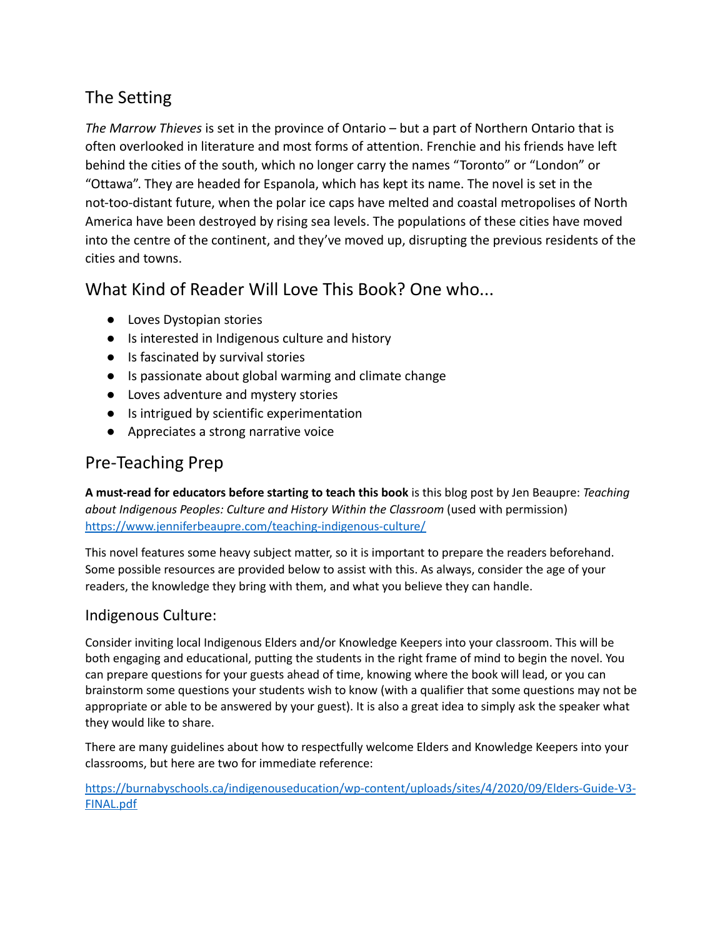## The Setting

*The Marrow Thieves* is set in the province of Ontario – but a part of Northern Ontario that is often overlooked in literature and most forms of attention. Frenchie and his friends have left behind the cities of the south, which no longer carry the names "Toronto" or "London" or "Ottawa". They are headed for Espanola, which has kept its name. The novel is set in the not-too-distant future, when the polar ice caps have melted and coastal metropolises of North America have been destroyed by rising sea levels. The populations of these cities have moved into the centre of the continent, and they've moved up, disrupting the previous residents of the cities and towns.

What Kind of Reader Will Love This Book? One who...

- Loves Dystopian stories
- Is interested in Indigenous culture and history
- Is fascinated by survival stories
- Is passionate about global warming and climate change
- Loves adventure and mystery stories
- Is intrigued by scientific experimentation
- Appreciates a strong narrative voice

## Pre-Teaching Prep

**A must-read for educators before starting to teach this book** is this blog post by Jen Beaupre: *Teaching about Indigenous Peoples: Culture and History Within the Classroom* (used with permission) <https://www.jenniferbeaupre.com/teaching-indigenous-culture/>

This novel features some heavy subject matter, so it is important to prepare the readers beforehand. Some possible resources are provided below to assist with this. As always, consider the age of your readers, the knowledge they bring with them, and what you believe they can handle.

### Indigenous Culture:

Consider inviting local Indigenous Elders and/or Knowledge Keepers into your classroom. This will be both engaging and educational, putting the students in the right frame of mind to begin the novel. You can prepare questions for your guests ahead of time, knowing where the book will lead, or you can brainstorm some questions your students wish to know (with a qualifier that some questions may not be appropriate or able to be answered by your guest). It is also a great idea to simply ask the speaker what they would like to share.

There are many guidelines about how to respectfully welcome Elders and Knowledge Keepers into your classrooms, but here are two for immediate reference:

[https://burnabyschools.ca/indigenouseducation/wp-content/uploads/sites/4/2020/09/Elders-Guide-V3-](https://burnabyschools.ca/indigenouseducation/wp-content/uploads/sites/4/2020/09/Elders-Guide-V3-FINAL.pdf) [FINAL.pdf](https://burnabyschools.ca/indigenouseducation/wp-content/uploads/sites/4/2020/09/Elders-Guide-V3-FINAL.pdf)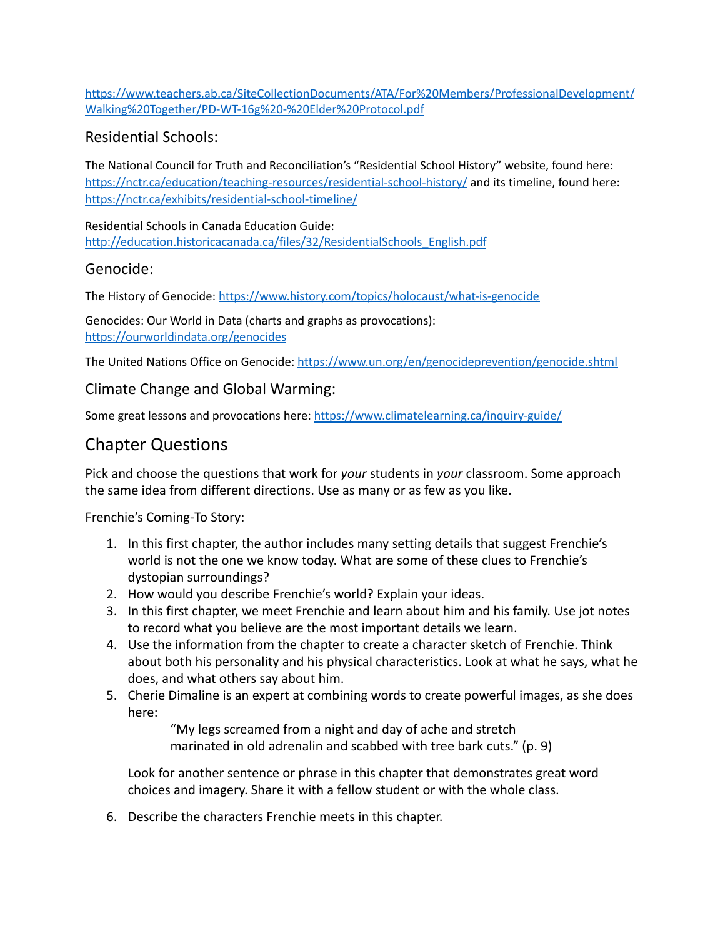[https://www.teachers.ab.ca/SiteCollectionDocuments/ATA/For%20Members/ProfessionalDevelopment/](https://www.teachers.ab.ca/SiteCollectionDocuments/ATA/For%20Members/ProfessionalDevelopment/Walking%20Together/PD-WT-16g%20-%20Elder%20Protocol.pdf) [Walking%20Together/PD-WT-16g%20-%20Elder%20Protocol.pdf](https://www.teachers.ab.ca/SiteCollectionDocuments/ATA/For%20Members/ProfessionalDevelopment/Walking%20Together/PD-WT-16g%20-%20Elder%20Protocol.pdf)

#### Residential Schools:

The National Council for Truth and Reconciliation's "Residential School History" website, found here: <https://nctr.ca/education/teaching-resources/residential-school-history/> and its timeline, found here: <https://nctr.ca/exhibits/residential-school-timeline/>

Residential Schools in Canada Education Guide: [http://education.historicacanada.ca/files/32/ResidentialSchools\\_English.pdf](http://education.historicacanada.ca/files/32/ResidentialSchools_English.pdf)

#### Genocide:

The History of Genocide: <https://www.history.com/topics/holocaust/what-is-genocide>

Genocides: Our World in Data (charts and graphs as provocations): <https://ourworldindata.org/genocides>

The United Nations Office on Genocide: <https://www.un.org/en/genocideprevention/genocide.shtml>

#### Climate Change and Global Warming:

Some great lessons and provocations here: <https://www.climatelearning.ca/inquiry-guide/>

## Chapter Questions

Pick and choose the questions that work for *your* students in *your* classroom. Some approach the same idea from different directions. Use as many or as few as you like.

Frenchie's Coming-To Story:

- 1. In this first chapter, the author includes many setting details that suggest Frenchie's world is not the one we know today. What are some of these clues to Frenchie's dystopian surroundings?
- 2. How would you describe Frenchie's world? Explain your ideas.
- 3. In this first chapter, we meet Frenchie and learn about him and his family. Use jot notes to record what you believe are the most important details we learn.
- 4. Use the information from the chapter to create a character sketch of Frenchie. Think about both his personality and his physical characteristics. Look at what he says, what he does, and what others say about him.
- 5. Cherie Dimaline is an expert at combining words to create powerful images, as she does here:

"My legs screamed from a night and day of ache and stretch marinated in old adrenalin and scabbed with tree bark cuts." (p. 9)

Look for another sentence or phrase in this chapter that demonstrates great word choices and imagery. Share it with a fellow student or with the whole class.

6. Describe the characters Frenchie meets in this chapter.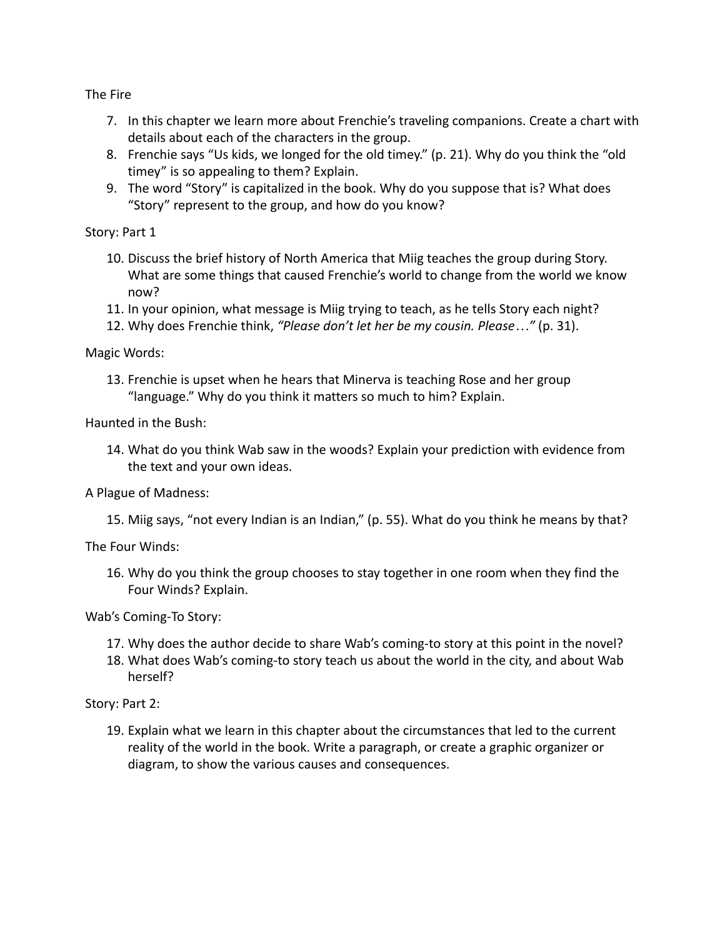The Fire

- 7. In this chapter we learn more about Frenchie's traveling companions. Create a chart with details about each of the characters in the group.
- 8. Frenchie says "Us kids, we longed for the old timey." (p. 21). Why do you think the "old timey" is so appealing to them? Explain.
- 9. The word "Story" is capitalized in the book. Why do you suppose that is? What does "Story" represent to the group, and how do you know?

Story: Part 1

- 10. Discuss the brief history of North America that Miig teaches the group during Story. What are some things that caused Frenchie's world to change from the world we know now?
- 11. In your opinion, what message is Miig trying to teach, as he tells Story each night?
- 12. Why does Frenchie think, *"Please don't let her be my cousin. Please…"* (p. 31).

Magic Words:

13. Frenchie is upset when he hears that Minerva is teaching Rose and her group "language." Why do you think it matters so much to him? Explain.

Haunted in the Bush:

14. What do you think Wab saw in the woods? Explain your prediction with evidence from the text and your own ideas.

A Plague of Madness:

15. Miig says, "not every Indian is an Indian," (p. 55). What do you think he means by that?

The Four Winds:

16. Why do you think the group chooses to stay together in one room when they find the Four Winds? Explain.

Wab's Coming-To Story:

- 17. Why does the author decide to share Wab's coming-to story at this point in the novel?
- 18. What does Wab's coming-to story teach us about the world in the city, and about Wab herself?

Story: Part 2:

19. Explain what we learn in this chapter about the circumstances that led to the current reality of the world in the book. Write a paragraph, or create a graphic organizer or diagram, to show the various causes and consequences.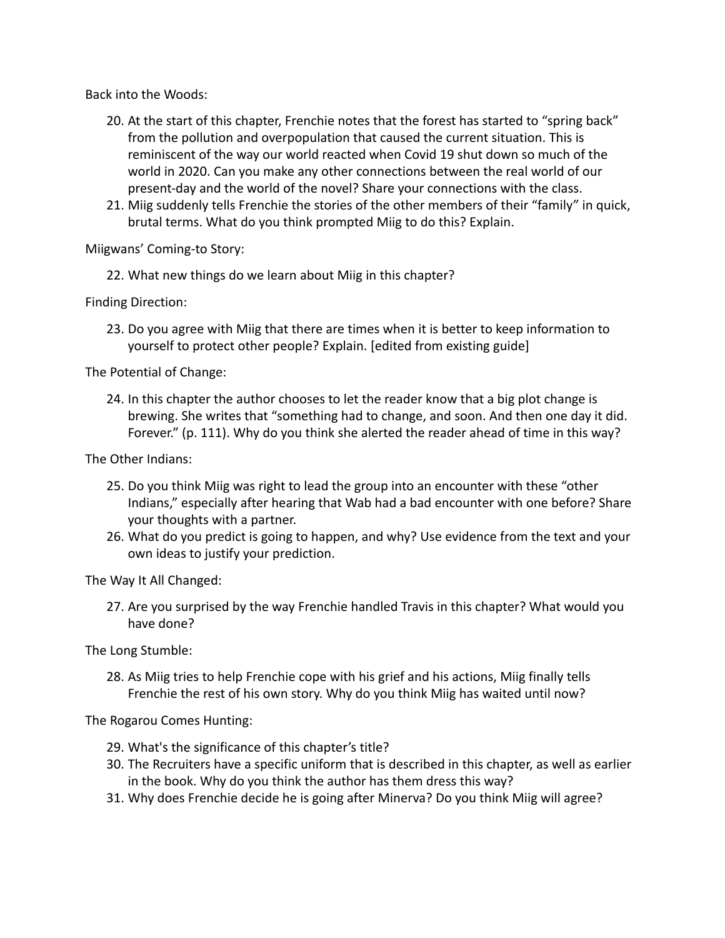Back into the Woods:

- 20. At the start of this chapter, Frenchie notes that the forest has started to "spring back" from the pollution and overpopulation that caused the current situation. This is reminiscent of the way our world reacted when Covid 19 shut down so much of the world in 2020. Can you make any other connections between the real world of our present-day and the world of the novel? Share your connections with the class.
- 21. Miig suddenly tells Frenchie the stories of the other members of their "family" in quick, brutal terms. What do you think prompted Miig to do this? Explain.

Miigwans' Coming-to Story:

22. What new things do we learn about Miig in this chapter?

Finding Direction:

23. Do you agree with Miig that there are times when it is better to keep information to yourself to protect other people? Explain. [edited from existing guide]

The Potential of Change:

24. In this chapter the author chooses to let the reader know that a big plot change is brewing. She writes that "something had to change, and soon. And then one day it did. Forever." (p. 111). Why do you think she alerted the reader ahead of time in this way?

The Other Indians:

- 25. Do you think Miig was right to lead the group into an encounter with these "other Indians," especially after hearing that Wab had a bad encounter with one before? Share your thoughts with a partner.
- 26. What do you predict is going to happen, and why? Use evidence from the text and your own ideas to justify your prediction.

The Way It All Changed:

27. Are you surprised by the way Frenchie handled Travis in this chapter? What would you have done?

The Long Stumble:

28. As Miig tries to help Frenchie cope with his grief and his actions, Miig finally tells Frenchie the rest of his own story. Why do you think Miig has waited until now?

The Rogarou Comes Hunting:

- 29. What's the significance of this chapter's title?
- 30. The Recruiters have a specific uniform that is described in this chapter, as well as earlier in the book. Why do you think the author has them dress this way?
- 31. Why does Frenchie decide he is going after Minerva? Do you think Miig will agree?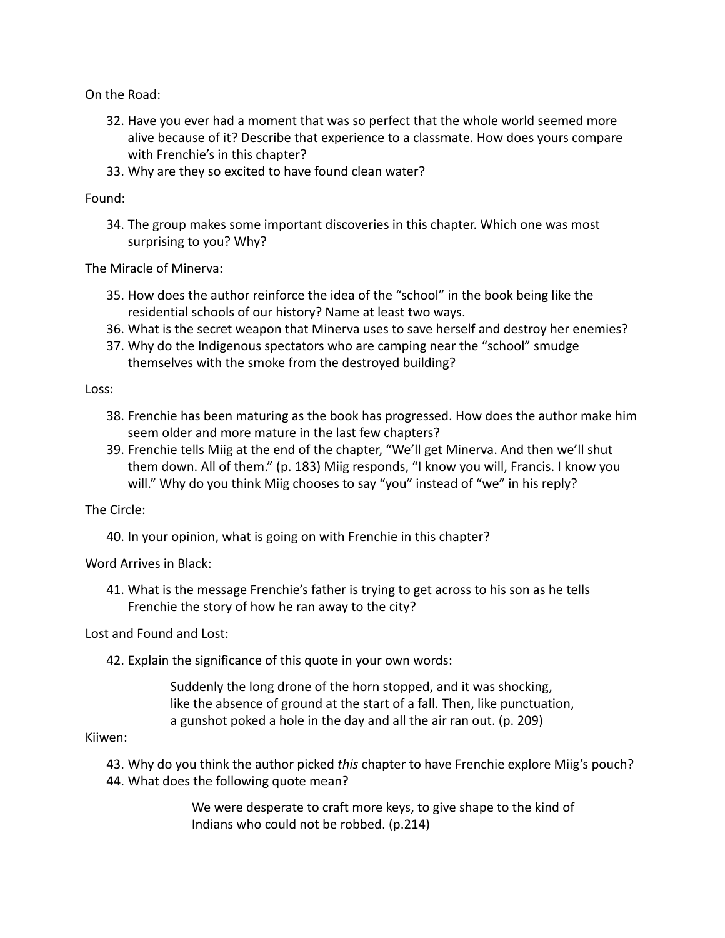On the Road:

- 32. Have you ever had a moment that was so perfect that the whole world seemed more alive because of it? Describe that experience to a classmate. How does yours compare with Frenchie's in this chapter?
- 33. Why are they so excited to have found clean water?

#### Found:

34. The group makes some important discoveries in this chapter. Which one was most surprising to you? Why?

The Miracle of Minerva:

- 35. How does the author reinforce the idea of the "school" in the book being like the residential schools of our history? Name at least two ways.
- 36. What is the secret weapon that Minerva uses to save herself and destroy her enemies?
- 37. Why do the Indigenous spectators who are camping near the "school" smudge themselves with the smoke from the destroyed building?

Loss:

- 38. Frenchie has been maturing as the book has progressed. How does the author make him seem older and more mature in the last few chapters?
- 39. Frenchie tells Miig at the end of the chapter, "We'll get Minerva. And then we'll shut them down. All of them." (p. 183) Miig responds, "I know you will, Francis. I know you will." Why do you think Miig chooses to say "you" instead of "we" in his reply?

The Circle:

40. In your opinion, what is going on with Frenchie in this chapter?

Word Arrives in Black:

41. What is the message Frenchie's father is trying to get across to his son as he tells Frenchie the story of how he ran away to the city?

Lost and Found and Lost:

42. Explain the significance of this quote in your own words:

Suddenly the long drone of the horn stopped, and it was shocking, like the absence of ground at the start of a fall. Then, like punctuation, a gunshot poked a hole in the day and all the air ran out. (p. 209)

#### Kiiwen:

43. Why do you think the author picked *this* chapter to have Frenchie explore Miig's pouch? 44. What does the following quote mean?

> We were desperate to craft more keys, to give shape to the kind of Indians who could not be robbed. (p.214)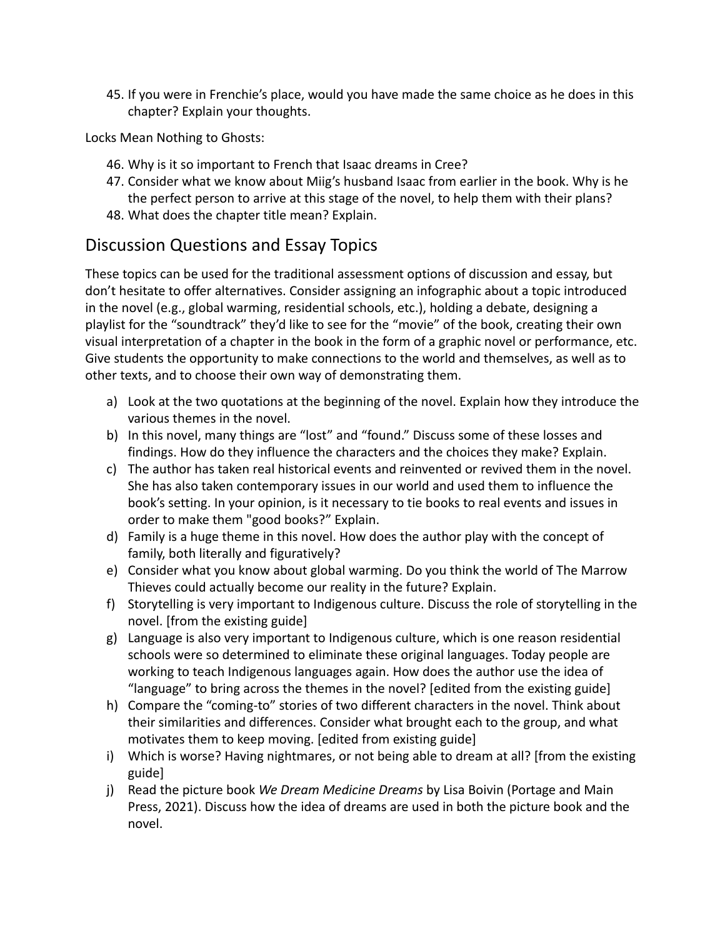45. If you were in Frenchie's place, would you have made the same choice as he does in this chapter? Explain your thoughts.

Locks Mean Nothing to Ghosts:

- 46. Why is it so important to French that Isaac dreams in Cree?
- 47. Consider what we know about Miig's husband Isaac from earlier in the book. Why is he the perfect person to arrive at this stage of the novel, to help them with their plans?
- 48. What does the chapter title mean? Explain.

## Discussion Questions and Essay Topics

These topics can be used for the traditional assessment options of discussion and essay, but don't hesitate to offer alternatives. Consider assigning an infographic about a topic introduced in the novel (e.g., global warming, residential schools, etc.), holding a debate, designing a playlist for the "soundtrack" they'd like to see for the "movie" of the book, creating their own visual interpretation of a chapter in the book in the form of a graphic novel or performance, etc. Give students the opportunity to make connections to the world and themselves, as well as to other texts, and to choose their own way of demonstrating them.

- a) Look at the two quotations at the beginning of the novel. Explain how they introduce the various themes in the novel.
- b) In this novel, many things are "lost" and "found." Discuss some of these losses and findings. How do they influence the characters and the choices they make? Explain.
- c) The author has taken real historical events and reinvented or revived them in the novel. She has also taken contemporary issues in our world and used them to influence the book's setting. In your opinion, is it necessary to tie books to real events and issues in order to make them "good books?" Explain.
- d) Family is a huge theme in this novel. How does the author play with the concept of family, both literally and figuratively?
- e) Consider what you know about global warming. Do you think the world of The Marrow Thieves could actually become our reality in the future? Explain.
- f) Storytelling is very important to Indigenous culture. Discuss the role of storytelling in the novel. [from the existing guide]
- g) Language is also very important to Indigenous culture, which is one reason residential schools were so determined to eliminate these original languages. Today people are working to teach Indigenous languages again. How does the author use the idea of "language" to bring across the themes in the novel? [edited from the existing guide]
- h) Compare the "coming-to" stories of two different characters in the novel. Think about their similarities and differences. Consider what brought each to the group, and what motivates them to keep moving. [edited from existing guide]
- i) Which is worse? Having nightmares, or not being able to dream at all? [from the existing guide]
- j) Read the picture book *We Dream Medicine Dreams* by Lisa Boivin (Portage and Main Press, 2021). Discuss how the idea of dreams are used in both the picture book and the novel.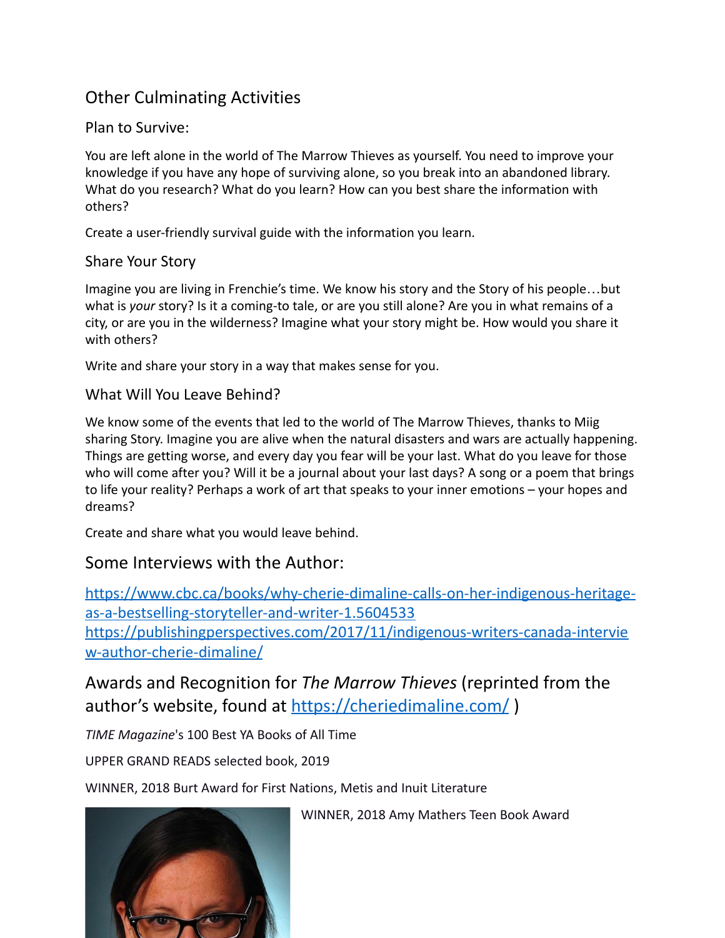## Other Culminating Activities

#### Plan to Survive:

You are left alone in the world of The Marrow Thieves as yourself. You need to improve your knowledge if you have any hope of surviving alone, so you break into an abandoned library. What do you research? What do you learn? How can you best share the information with others?

Create a user-friendly survival guide with the information you learn.

#### Share Your Story

Imagine you are living in Frenchie's time. We know his story and the Story of his people…but what is *your* story? Is it a coming-to tale, or are you still alone? Are you in what remains of a city, or are you in the wilderness? Imagine what your story might be. How would you share it with others?

Write and share your story in a way that makes sense for you.

#### What Will You Leave Behind?

We know some of the events that led to the world of The Marrow Thieves, thanks to Miig sharing Story. Imagine you are alive when the natural disasters and wars are actually happening. Things are getting worse, and every day you fear will be your last. What do you leave for those who will come after you? Will it be a journal about your last days? A song or a poem that brings to life your reality? Perhaps a work of art that speaks to your inner emotions – your hopes and dreams?

Create and share what you would leave behind.

### Some Interviews with the Author:

[https://www.cbc.ca/books/why-cherie-dimaline-calls-on-her-indigenous-heritage](https://www.cbc.ca/books/why-cherie-dimaline-calls-on-her-indigenous-heritage-as-a-bestselling-storyteller-and-writer-1.5604533)[as-a-bestselling-storyteller-and-writer-1.5604533](https://www.cbc.ca/books/why-cherie-dimaline-calls-on-her-indigenous-heritage-as-a-bestselling-storyteller-and-writer-1.5604533) [https://publishingperspectives.com/2017/11/indigenous-writers-canada-intervie](https://publishingperspectives.com/2017/11/indigenous-writers-canada-interview-author-cherie-dimaline/) [w-author-cherie-dimaline/](https://publishingperspectives.com/2017/11/indigenous-writers-canada-interview-author-cherie-dimaline/)

Awards and Recognition for *The Marrow Thieves* (reprinted from the author's website, found at <https://cheriedimaline.com/> )

*TIME Magazine*'s 100 Best YA Books of All Time

UPPER GRAND READS selected book, 2019

WINNER, 2018 Burt Award for First Nations, Metis and Inuit Literature



WINNER, 2018 Amy Mathers Teen Book Award